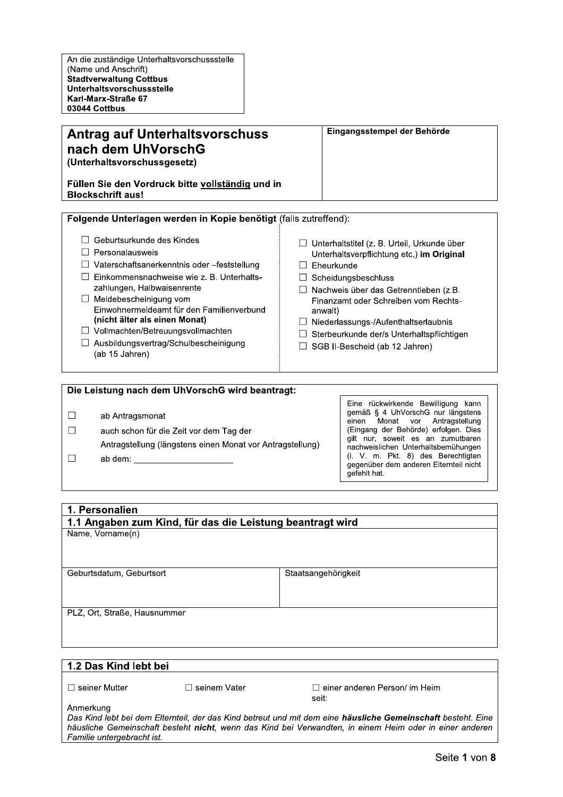# **Antrag auf Unterhaltsvorschuss** nach dem UhVorschG (Unterhaltsvorschussgesetz)

Eingangsstempel der Behörde

#### Füllen Sie den Vordruck bitte vollständig und in **Blockschrift aus!**

□ Vaterschaftsanerkenntnis oder -feststellung

 $\Box$  Einkommensnachweise wie z. B. Unterhalts-

Einwohnermeldeamt für den Familienverbund

zahlungen. Halbwaisenrente

(nicht älter als einen Monat)

□ Vollmachten/Betreuungsvollmachten

□ Ausbildungsvertrag/Schulbescheinigung

□ Meldebescheinigung vom

| Folgende Unterlagen werden in Kopie benötigt (falls zutreffend): |                                               |
|------------------------------------------------------------------|-----------------------------------------------|
| $\Box$ Geburtsurkunde des Kindes                                 | □ Unterhaltstitel (z. B. Urteil, Urkunde über |
| $\Box$ Personalausweis                                           | Unterhaltsverpflichtung etc.) im Original     |

- $\Box$  Eheurkunde
	- $\Box$  Scheidungsbeschluss
	- $\Box$  Nachweis über das Getrenntleben (z.B. Finanzamt oder Schreiben vom Rechtsanwalt)
	- $\Box$  Niederlassungs-/Aufenthaltserlaubnis
	- $\Box$  Sterbeurkunde der/s Unterhaltspflichtigen
	- $\Box$  SGB II-Bescheid (ab 12 Jahren)

# Die Leistung nach dem UhVorschG wird beantragt:

 $\Box$ ab Antragsmonat

(ab 15 Jahren)

- $\Box$ auch schon für die Zeit vor dem Tag der
	- Antragstellung (längstens einen Monat vor Antragstellung)
- $\Box$ ab dem:

Eine rückwirkende Bewilligung kann gemäß § 4 UhVorschG nur längstens Antragstellung einen Monat vor (Eingang der Behörde) erfolgen. Dies gilt nur, soweit es an zumutbaren nachweislichen Unterhaltsbemühungen (i. V. m. Pkt. 8) des Berechtigten gegenüber dem anderen Elternteil nicht gefehlt hat.

#### 1. Personalien 1.1 Angaben zum Kind, für das die Leistung beantragt wird

Name, Vorname(n)

Geburtsdatum, Geburtsort

Staatsangehörigkeit

PLZ, Ort, Straße, Hausnummer

# 1.2 Das Kind lebt bei

 $\Box$  seiner Mutter

□ seinem Vater

□ einer anderen Person/ im Heim seit:

Anmerkung

Das Kind lebt bei dem Elternteil, der das Kind betreut und mit dem eine häusliche Gemeinschaft besteht. Eine häusliche Gemeinschaft besteht nicht, wenn das Kind bei Verwandten, in einem Heim oder in einer anderen Familie untergebracht ist.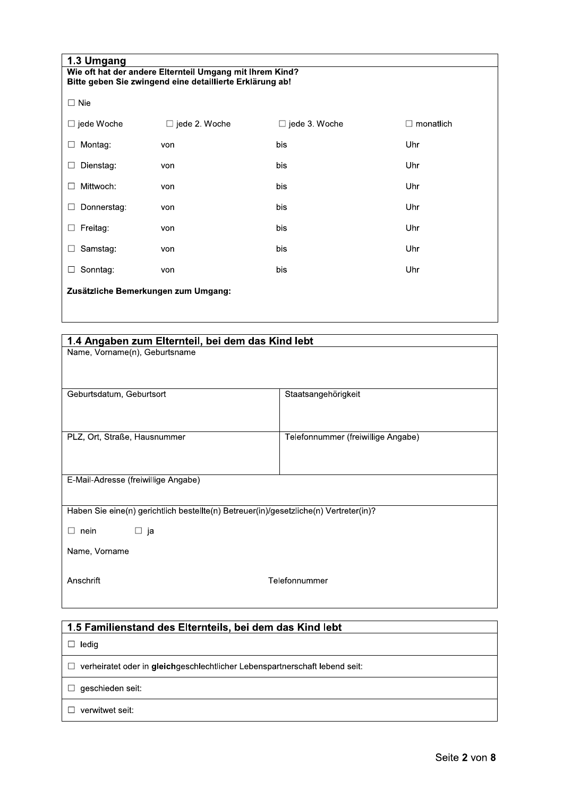| 1.3 Umgang                                               |                      |                      |                  |  |  |
|----------------------------------------------------------|----------------------|----------------------|------------------|--|--|
| Wie oft hat der andere Elternteil Umgang mit Ihrem Kind? |                      |                      |                  |  |  |
| Bitte geben Sie zwingend eine detaillierte Erklärung ab! |                      |                      |                  |  |  |
| $\Box$ Nie                                               |                      |                      |                  |  |  |
| $\Box$ jede Woche                                        | $\Box$ jede 2. Woche | $\Box$ jede 3. Woche | $\Box$ monatlich |  |  |
| Montag:<br>$\Box$                                        | von                  | bis                  | Uhr              |  |  |
| Dienstag:<br>□                                           | von                  | bis                  | Uhr              |  |  |
| Mittwoch:<br>$\Box$                                      | von                  | bis                  | Uhr              |  |  |
| Donnerstag:<br>$\Box$                                    | von                  | bis                  | Uhr              |  |  |
| Freitag:<br>$\Box$                                       | von                  | bis                  | Uhr              |  |  |
| Samstag:<br>$\Box$                                       | von                  | bis                  | Uhr              |  |  |
| Sonntag:<br>$\Box$                                       | von                  | bis                  | Uhr              |  |  |
| Zusätzliche Bemerkungen zum Umgang:                      |                      |                      |                  |  |  |

| 1.4 Angaben zum Elternteil, bei dem das Kind lebt                                     |                                    |  |  |  |
|---------------------------------------------------------------------------------------|------------------------------------|--|--|--|
| Name, Vorname(n), Geburtsname                                                         |                                    |  |  |  |
|                                                                                       |                                    |  |  |  |
|                                                                                       |                                    |  |  |  |
| Geburtsdatum, Geburtsort                                                              | Staatsangehörigkeit                |  |  |  |
|                                                                                       |                                    |  |  |  |
|                                                                                       |                                    |  |  |  |
| PLZ, Ort, Straße, Hausnummer                                                          | Telefonnummer (freiwillige Angabe) |  |  |  |
|                                                                                       |                                    |  |  |  |
|                                                                                       |                                    |  |  |  |
| E-Mail-Adresse (freiwillige Angabe)                                                   |                                    |  |  |  |
|                                                                                       |                                    |  |  |  |
| Haben Sie eine(n) gerichtlich bestellte(n) Betreuer(in)/gesetzliche(n) Vertreter(in)? |                                    |  |  |  |
|                                                                                       |                                    |  |  |  |
| $\Box$ ja<br>$\Box$ nein                                                              |                                    |  |  |  |
| Name, Vorname                                                                         |                                    |  |  |  |
|                                                                                       |                                    |  |  |  |
| Anschrift                                                                             | Telefonnummer                      |  |  |  |
|                                                                                       |                                    |  |  |  |
|                                                                                       |                                    |  |  |  |

# 1.5 Familienstand des Elternteils, bei dem das Kind lebt  $\Box$  ledig □ verheiratet oder in gleichgeschlechtlicher Lebenspartnerschaft lebend seit:  $\Box$  geschieden seit:  $\Box$  verwitwet seit: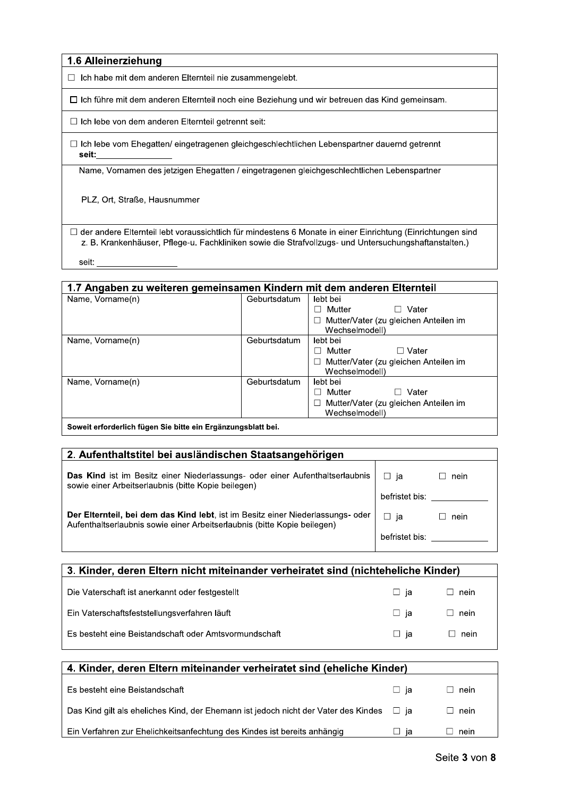# 1.6 Alleinerziehung

 $\Box$  Ich habe mit dem anderen Elternteil nie

t dem anderen Elternteil noch eine Beziehung und wir betreuen das Kind gemeins

l aetrennt seit:

1.6 Alleinerziehung<br>
□ Ich habe mit dem anderen Elternteil nie zusammengelebt.<br>
□ Ich führe mit dem anderen Elternteil noch eine Beziehung und wir betreuen das<br>
□ Ich lebe von dem anderen Elternteil getrennt seit:<br>
□ Ich 1.6 Alleinerziehung<br>
□ Ich habe mit dem anderen Elternteil nie zusammengelebt.<br>
□ Ich führe mit dem anderen Elternteil noch eine Beziehung und wir betreuen das Kind gemeinsam.<br>□ Ich lebe von dem anderen Elternteil getrenn  $\Box$  Ich lebe vom Ehegatten/ eingetragenen gleichgeschlechtlichen Lebenspartner dauernd getrennt 1234444444444444444

| PLZ, Ort, Straße, Hausnummer |              |                                                                                                                                                                                                                        |
|------------------------------|--------------|------------------------------------------------------------------------------------------------------------------------------------------------------------------------------------------------------------------------|
| seit:                        |              | □ der andere Elternteil lebt voraussichtlich für mindestens 6 Monate in einer Einrichtung (Einrichtungen sind<br>z. B. Krankenhäuser, Pflege-u. Fachkliniken sowie die Strafvollzugs- und Untersuchungshaftanstalten.) |
|                              |              |                                                                                                                                                                                                                        |
|                              |              | 1.7 Angaben zu weiteren gemeinsamen Kindern mit dem anderen Elternteil                                                                                                                                                 |
| Name, Vorname(n)             | Geburtsdatum | lebt bei                                                                                                                                                                                                               |
|                              |              | $\Box$ Vater<br>$\Box$ Mutter                                                                                                                                                                                          |
|                              |              |                                                                                                                                                                                                                        |
|                              |              | $\Box$ Mutter/Vater (zu gleichen Anteilen im                                                                                                                                                                           |
|                              | Geburtsdatum | Wechselmodell)<br>lebt bei                                                                                                                                                                                             |
| Name, Vorname(n)             |              | $\Box$ Vater<br>$\Box$ Mutter                                                                                                                                                                                          |
|                              |              | □ Mutter/Vater (zu gleichen Anteilen im<br>Wechselmodell)                                                                                                                                                              |
| Name, Vorname(n)             | Geburtsdatum | lebt bei                                                                                                                                                                                                               |
|                              |              | $\Box$ Vater<br>$\Box$ Mutter<br>□ Mutter/Vater (zu gleichen Anteilen im                                                                                                                                               |

| ∣ Soweit erforderlich fügen Sie bitte ein Erganzungsbiatt bei. |
|----------------------------------------------------------------|
|                                                                |

| 2. Aufenthaltstitel bei ausländischen Staatsangehörigen                                                                                                     |                |      |
|-------------------------------------------------------------------------------------------------------------------------------------------------------------|----------------|------|
| Das Kind ist im Besitz einer Niederlassungs- oder einer Aufenthaltserlaubnis<br>sowie einer Arbeitserlaubnis (bitte Kopie beilegen)                         | □ ia           | nein |
|                                                                                                                                                             | befristet bis: |      |
| Der Elternteil, bei dem das Kind lebt, ist im Besitz einer Niederlassungs- oder<br>Aufenthaltserlaubnis sowie einer Arbeitserlaubnis (bitte Kopie beilegen) | ⊟ ia           | nein |
|                                                                                                                                                             | befristet bis: |      |
|                                                                                                                                                             |                |      |

| 3. Kinder, deren Eltern nicht miteinander verheiratet sind (nichteheliche Kinder) |       |             |  |  |
|-----------------------------------------------------------------------------------|-------|-------------|--|--|
| Die Vaterschaft ist anerkannt oder festgestellt                                   | □ ja  | $\Box$ nein |  |  |
| Ein Vaterschaftsfeststellungsverfahren läuft                                      | ⊟ ja  | $\Box$ nein |  |  |
| Es besteht eine Beistandschaft oder Amtsvormundschaft                             | ∟l ja | nein        |  |  |

| 4. Kinder, deren Eltern miteinander verheiratet sind (eheliche Kinder)                        |               |             |  |  |
|-----------------------------------------------------------------------------------------------|---------------|-------------|--|--|
| Es besteht eine Beistandschaft                                                                | $\Box$ ja     | $\Box$ nein |  |  |
| Das Kind gilt als eheliches Kind, der Ehemann ist jedoch nicht der Vater des Kindes $\Box$ ja |               | $\Box$ nein |  |  |
| Ein Verfahren zur Ehelichkeitsanfechtung des Kindes ist bereits anhängig                      | ia<br>$\perp$ | nein        |  |  |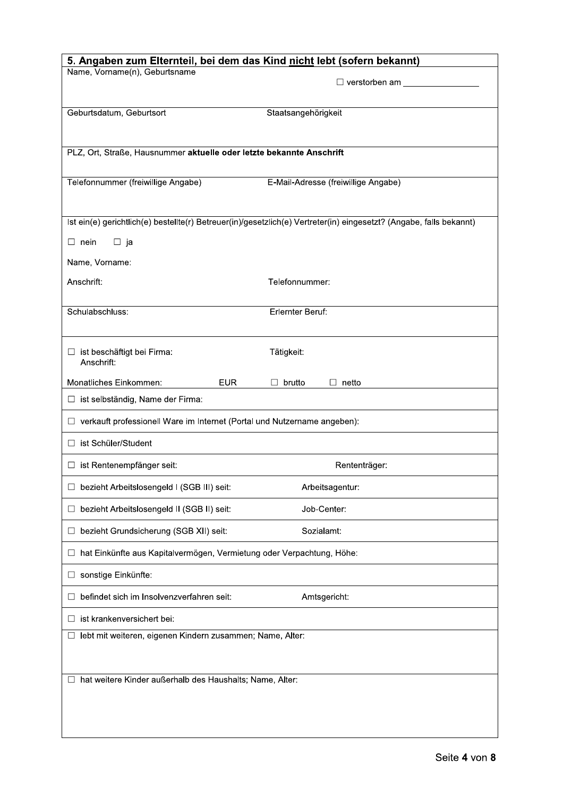| Name, Vorname(n), Geburtsname                                              | 5. Angaben zum Elternteil, bei dem das Kind nicht lebt (sofern bekannt)<br>$\Box$ verstorben am                     |
|----------------------------------------------------------------------------|---------------------------------------------------------------------------------------------------------------------|
| Geburtsdatum, Geburtsort                                                   | Staatsangehörigkeit                                                                                                 |
| PLZ, Ort, Straße, Hausnummer aktuelle oder letzte bekannte Anschrift       |                                                                                                                     |
| Telefonnummer (freiwillige Angabe)                                         | E-Mail-Adresse (freiwillige Angabe)                                                                                 |
|                                                                            | Ist ein(e) gerichtlich(e) bestellte(r) Betreuer(in)/gesetzlich(e) Vertreter(in) eingesetzt? (Angabe, falls bekannt) |
| $\Box$ ja<br>$\Box$ nein                                                   |                                                                                                                     |
| Name, Vorname:                                                             |                                                                                                                     |
| Anschrift:                                                                 | Telefonnummer:                                                                                                      |
| Schulabschluss:                                                            | Erlernter Beruf:                                                                                                    |
| □ ist beschäftigt bei Firma:<br>Anschrift:                                 | Tätigkeit:                                                                                                          |
| Monatliches Einkommen:<br><b>EUR</b>                                       | $\Box$ brutto<br>$\Box$ netto                                                                                       |
| $\Box$ ist selbständig, Name der Firma:                                    |                                                                                                                     |
| □ verkauft professionell Ware im Internet (Portal und Nutzername angeben): |                                                                                                                     |
| □ ist Schüler/Student                                                      |                                                                                                                     |
| $\Box$ ist Rentenempfänger seit:                                           | Rententräger:                                                                                                       |
| □ bezieht Arbeitslosengeld I (SGB III) seit:                               | Arbeitsagentur:                                                                                                     |
| □ bezieht Arbeitslosengeld II (SGB II) seit:                               | Job-Center:                                                                                                         |
| □ bezieht Grundsicherung (SGB XII) seit:                                   | Sozialamt:                                                                                                          |
| □ hat Einkünfte aus Kapitalvermögen, Vermietung oder Verpachtung, Höhe:    |                                                                                                                     |
| □ sonstige Einkünfte:                                                      |                                                                                                                     |
| befindet sich im Insolvenzverfahren seit:<br>$\Box$                        | Amtsgericht:                                                                                                        |
| $\Box$ ist krankenversichert bei:                                          |                                                                                                                     |
| □ lebt mit weiteren, eigenen Kindern zusammen; Name, Alter:                |                                                                                                                     |
| □ hat weitere Kinder außerhalb des Haushalts; Name, Alter:                 |                                                                                                                     |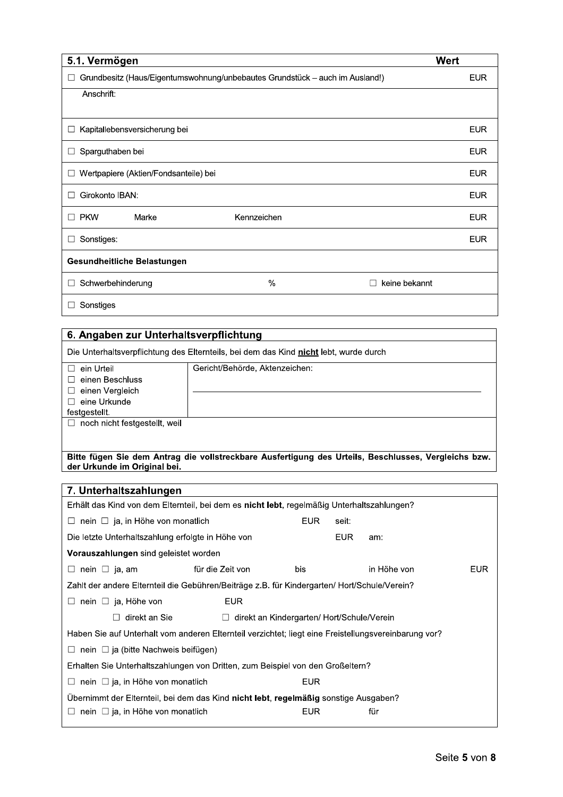| 5.1. Vermögen                                                                |             |                               | <b>Wert</b> |
|------------------------------------------------------------------------------|-------------|-------------------------------|-------------|
| Grundbesitz (Haus/Eigentumswohnung/unbebautes Grundstück - auch im Ausland!) |             |                               | <b>EUR</b>  |
| Anschrift:                                                                   |             |                               |             |
|                                                                              |             |                               |             |
| Kapitallebensversicherung bei<br>$\Box$                                      |             |                               | <b>EUR</b>  |
| Sparguthaben bei<br>$\Box$                                                   |             |                               | <b>EUR</b>  |
| Wertpapiere (Aktien/Fondsanteile) bei<br>∟                                   |             |                               | <b>EUR</b>  |
| Girokonto IBAN:<br>$\mathbf{I}$                                              |             |                               | <b>EUR</b>  |
| <b>PKW</b><br>Marke<br>$\mathsf{L}$                                          | Kennzeichen |                               | <b>EUR</b>  |
| Sonstiges:                                                                   |             |                               | <b>EUR</b>  |
| Gesundheitliche Belastungen                                                  |             |                               |             |
| Schwerbehinderung                                                            | %           | keine bekannt<br>$\mathbf{I}$ |             |
| Sonstiges                                                                    |             |                               |             |

| 6. Angaben zur Unterhaltsverpflichtung                                                |                                |  |  |
|---------------------------------------------------------------------------------------|--------------------------------|--|--|
| Die Unterhaltsverpflichtung des Elternteils, bei dem das Kind nicht lebt, wurde durch |                                |  |  |
| ein Urteil                                                                            | Gericht/Behörde, Aktenzeichen: |  |  |
| einen Beschluss                                                                       |                                |  |  |
| einen Vergleich                                                                       |                                |  |  |
| eine Urkunde                                                                          |                                |  |  |
| festgestellt.                                                                         |                                |  |  |
| noch nicht festgestellt, weil                                                         |                                |  |  |
|                                                                                       |                                |  |  |
|                                                                                       |                                |  |  |

# Bitte fügen Sie dem Antrag die vollstreckbare Ausfertigung des Urteils, Beschlusses, Vergleichs bzw.<br>der Urkunde im Original bei.

| 7. Unterhaltszahlungen                                                                               |                  |                                                  |       |             |            |
|------------------------------------------------------------------------------------------------------|------------------|--------------------------------------------------|-------|-------------|------------|
| Erhält das Kind von dem Elternteil, bei dem es nicht lebt, regelmäßig Unterhaltszahlungen?           |                  |                                                  |       |             |            |
| $\Box$ nein $\Box$ ja, in Höhe von monatlich                                                         |                  | <b>EUR</b>                                       | seit: |             |            |
| Die letzte Unterhaltszahlung erfolgte in Höhe von                                                    |                  |                                                  | EUR.  | am:         |            |
| <b>Vorauszahlungen</b> sind geleistet worden                                                         |                  |                                                  |       |             |            |
| $\Box$ nein $\Box$ ja, am                                                                            | für die Zeit von | bis                                              |       | in Höhe von | <b>EUR</b> |
| Zahlt der andere Elternteil die Gebühren/Beiträge z.B. für Kindergarten/ Hort/Schule/Verein?         |                  |                                                  |       |             |            |
| nein $\Box$ ja, Höhe von                                                                             | <b>EUR</b>       |                                                  |       |             |            |
| direkt an Sie                                                                                        |                  | $\Box$ direkt an Kindergarten/Hort/Schule/Verein |       |             |            |
| Haben Sie auf Unterhalt vom anderen Elternteil verzichtet; liegt eine Freistellungsvereinbarung vor? |                  |                                                  |       |             |            |
| $\Box$ nein $\Box$ ja (bitte Nachweis beifügen)                                                      |                  |                                                  |       |             |            |
| Erhalten Sie Unterhaltszahlungen von Dritten, zum Beispiel von den Großeltern?                       |                  |                                                  |       |             |            |
| nein $\Box$ ja, in Höhe von monatlich<br>$\Box$                                                      |                  | <b>EUR</b>                                       |       |             |            |
| Übernimmt der Elternteil, bei dem das Kind nicht lebt, regelmäßig sonstige Ausgaben?                 |                  |                                                  |       |             |            |
| nein $\Box$ ja, in Höhe von monatlich<br>$\Box$                                                      |                  | <b>EUR</b>                                       |       | für         |            |
|                                                                                                      |                  |                                                  |       |             |            |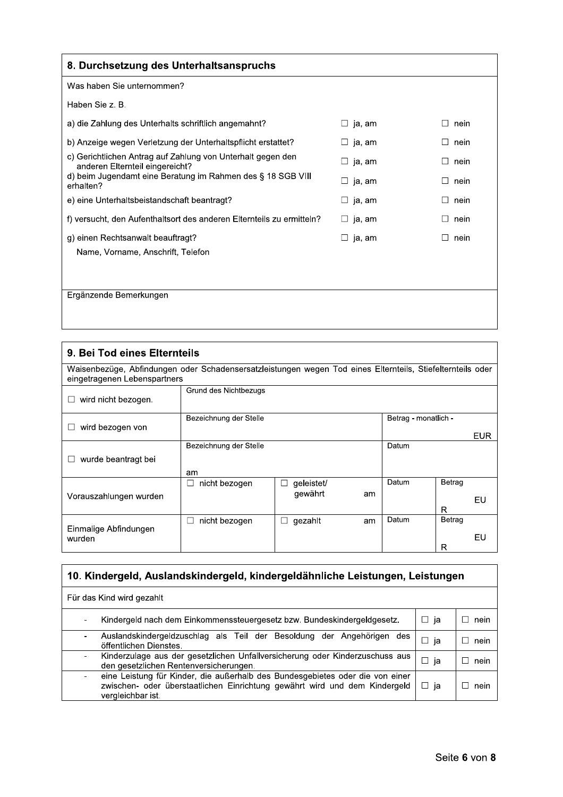| 8. Durchsetzung des Unterhaltsanspruchs                                                        |                          |      |
|------------------------------------------------------------------------------------------------|--------------------------|------|
| Was haben Sie unternommen?                                                                     |                          |      |
| Haben Sie z. B.                                                                                |                          |      |
| a) die Zahlung des Unterhalts schriftlich angemahnt?                                           | $\square$ ja, am         | nein |
| b) Anzeige wegen Verletzung der Unterhaltspflicht erstattet?                                   | ja, am<br>$\Box$         | nein |
| c) Gerichtlichen Antrag auf Zahlung von Unterhalt gegen den<br>anderen Elternteil eingereicht? | ja, am<br>$\blacksquare$ | nein |
| d) beim Jugendamt eine Beratung im Rahmen des § 18 SGB VIII<br>erhalten?                       | ja, am<br>$\Box$         | nein |
| e) eine Unterhaltsbeistandschaft beantragt?                                                    | ja, am<br>$\Box$         | nein |
| f) versucht, den Aufenthaltsort des anderen Elternteils zu ermitteln?                          | ja, am<br>$\Box$         | nein |
| g) einen Rechtsanwalt beauftragt?                                                              | ja, am<br>$\Box$         | nein |
| Name, Vorname, Anschrift, Telefon                                                              |                          |      |
|                                                                                                |                          |      |
| Ergänzende Bemerkungen                                                                         |                          |      |

| 9. Bei Tod eines Elternteils                                                                                                               |                         |                            |    |                      |        |            |
|--------------------------------------------------------------------------------------------------------------------------------------------|-------------------------|----------------------------|----|----------------------|--------|------------|
| Waisenbezüge, Abfindungen oder Schadensersatzleistungen wegen Tod eines Elternteils, Stiefelternteils oder<br>eingetragenen Lebenspartners |                         |                            |    |                      |        |            |
| wird nicht bezogen.                                                                                                                        | Grund des Nichtbezugs   |                            |    |                      |        |            |
|                                                                                                                                            | Bezeichnung der Stelle  |                            |    | Betrag - monatlich - |        |            |
| wird bezogen von                                                                                                                           |                         |                            |    |                      |        | <b>EUR</b> |
|                                                                                                                                            | Bezeichnung der Stelle  |                            |    | Datum                |        |            |
| wurde beantragt bei                                                                                                                        |                         |                            |    |                      |        |            |
|                                                                                                                                            | am                      |                            |    |                      |        |            |
|                                                                                                                                            | nicht bezogen<br>$\Box$ | geleistet/<br>$\mathbf{I}$ |    | Datum                | Betrag |            |
| Vorauszahlungen wurden                                                                                                                     |                         | qewährt                    | am |                      |        | EU         |
|                                                                                                                                            |                         |                            |    |                      | R      |            |
|                                                                                                                                            | nicht bezogen<br>$\Box$ | gezahlt<br>$\mathsf{L}$    | am | Datum                | Betrag |            |
| Einmalige Abfindungen<br>wurden                                                                                                            |                         |                            |    |                      |        | EU         |
|                                                                                                                                            |                         |                            |    |                      | R      |            |

| 10. Kindergeld, Auslandskindergeld, kindergeldähnliche Leistungen, Leistungen                                                                                                    |              |                      |  |
|----------------------------------------------------------------------------------------------------------------------------------------------------------------------------------|--------------|----------------------|--|
| Für das Kind wird gezahlt                                                                                                                                                        |              |                      |  |
| Kindergeld nach dem Einkommenssteuergesetz bzw. Bundeskindergeldgesetz.                                                                                                          | □ ja         | nein<br>$\mathsf{L}$ |  |
| Auslandskindergeldzuschlag als Teil der Besoldung<br>Angehörigen des<br>der<br>öffentlichen Dienstes.                                                                            | ia<br>$\Box$ | nein<br>$\mathbf{I}$ |  |
| Kinderzulage aus der gesetzlichen Unfallversicherung oder Kinderzuschuss aus<br>den gesetzlichen Rentenversicherungen.                                                           | $\Box$ ja    | nein<br>$\mathsf{L}$ |  |
| eine Leistung für Kinder, die außerhalb des Bundesgebietes oder die von einer<br>zwischen- oder überstaatlichen Einrichtung gewährt wird und dem Kindergeld<br>vergleichbar ist. | □ ja         | nein                 |  |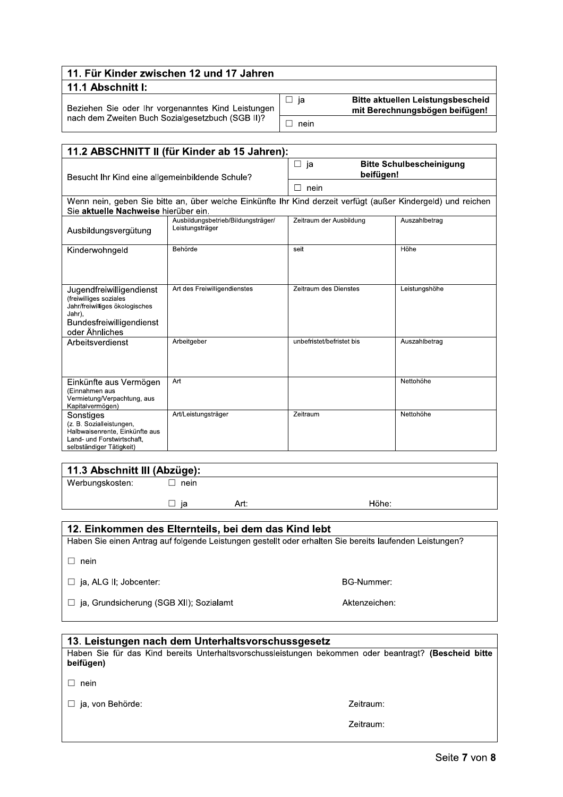| 11. Für Kinder zwischen 12 und 17 Jahren                                                               |      |                                                                            |
|--------------------------------------------------------------------------------------------------------|------|----------------------------------------------------------------------------|
| ∣ 11.1 Abschnitt I:                                                                                    |      |                                                                            |
| Beziehen Sie oder Ihr vorgenanntes Kind Leistungen<br>nach dem Zweiten Buch Sozialgesetzbuch (SGB II)? | -ia  | <b>Bitte aktuellen Leistungsbescheid</b><br>mit Berechnungsbögen beifügen! |
|                                                                                                        | nein |                                                                            |

| 11.2 ABSCHNITT II (für Kinder ab 15 Jahren):                                                                                                        |                                                                                                              |                                                 |               |
|-----------------------------------------------------------------------------------------------------------------------------------------------------|--------------------------------------------------------------------------------------------------------------|-------------------------------------------------|---------------|
| Besucht Ihr Kind eine allgemeinbildende Schule?                                                                                                     |                                                                                                              | <b>Bitte Schulbescheinigung</b><br>ja<br>$\Box$ |               |
|                                                                                                                                                     |                                                                                                              | beifügen!                                       |               |
|                                                                                                                                                     |                                                                                                              | nein<br>П                                       |               |
|                                                                                                                                                     | Wenn nein, geben Sie bitte an, über welche Einkünfte Ihr Kind derzeit verfügt (außer Kindergeld) und reichen |                                                 |               |
| Sie aktuelle Nachweise hierüber ein.                                                                                                                |                                                                                                              |                                                 |               |
| Ausbildungsvergütung                                                                                                                                | Ausbildungsbetrieb/Bildungsträger/<br>Leistungsträger                                                        | Zeitraum der Ausbildung                         | Auszahlbetrag |
| Kinderwohngeld                                                                                                                                      | Behörde                                                                                                      | seit                                            | Höhe          |
|                                                                                                                                                     |                                                                                                              |                                                 |               |
| Jugendfreiwilligendienst<br>(freiwilliges soziales<br>Jahr/freiwilliges ökologisches<br>Jahr),<br><b>Bundesfreiwilligendienst</b><br>oder Ähnliches | Art des Freiwilligendienstes                                                                                 | Zeitraum des Dienstes                           | Leistungshöhe |
| Arbeitsverdienst                                                                                                                                    | Arbeitgeber                                                                                                  | unbefristet/befristet bis                       | Auszahlbetrag |
| Einkünfte aus Vermögen<br>(Einnahmen aus<br>Vermietung/Verpachtung, aus<br>Kapitalvermögen)                                                         | Art                                                                                                          |                                                 | Nettohöhe     |
| Sonstiges<br>(z. B. Sozialleistungen,<br>Halbwaisenrente, Einkünfte aus<br>Land- und Forstwirtschaft.<br>selbständiger Tätigkeit)                   | Art/Leistungsträger                                                                                          | Zeitraum                                        | Nettohöhe     |

| 11.3 Abschnitt III (Abzüge): |      |      |       |
|------------------------------|------|------|-------|
| Werbungskosten:              | nein |      |       |
|                              | ıa   | Art: | Höhe: |

### 12. Einkommen des Elternteils, bei dem das Kind lebt

Haben Sie einen Antrag auf folgende Leistungen gestellt oder erhalten Sie bereits laufenden Leistungen?

 $\Box$  nein

□ ja, ALG II; Jobcenter:

□ ja, Grundsicherung (SGB XII); Sozialamt

#### 13. Leistungen nach dem Unterhaltsvorschussgesetz

Haben Sie für das Kind bereits Unterhaltsvorschussleistungen bekommen oder beantragt? (Bescheid bitte beifügen)

 $\Box$  nein

□ ja, von Behörde:

Zeitraum:

**BG-Nummer:** 

Aktenzeichen:

Zeitraum: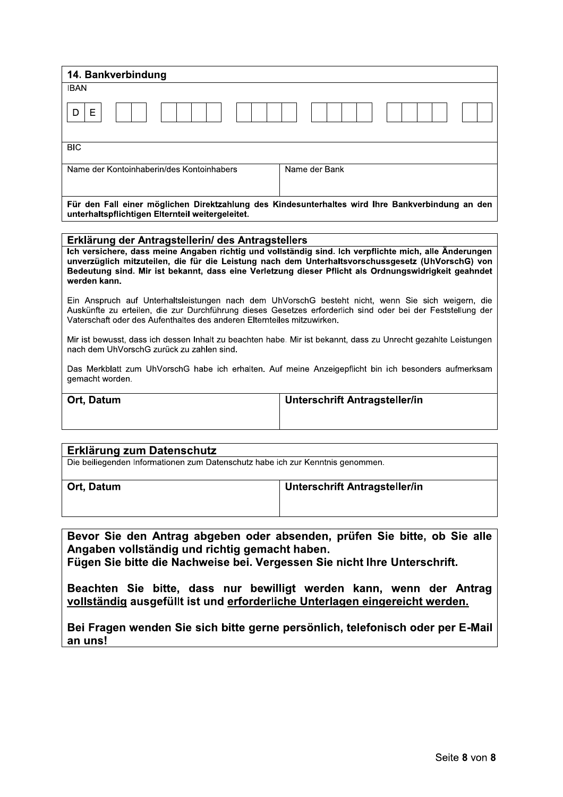| 14. Bankverbindung                                                                                                                                   |               |  |
|------------------------------------------------------------------------------------------------------------------------------------------------------|---------------|--|
| <b>IBAN</b>                                                                                                                                          |               |  |
| Е                                                                                                                                                    |               |  |
| <b>BIC</b>                                                                                                                                           |               |  |
| Name der Kontoinhaberin/des Kontoinhabers                                                                                                            | Name der Bank |  |
| Für den Fall einer möglichen Direktzahlung des Kindesunterhaltes wird Ihre Bankverbindung an den<br>unterhaltspflichtigen Elternteil weitergeleitet. |               |  |
|                                                                                                                                                      |               |  |
| Erklärung der Antragstellerin/ des Antragstellers                                                                                                    |               |  |
| Ich versichere, dass meine Angaben richtig und vollständig sind. Ich verpflichte mich, alle Änderungen                                               |               |  |

#### Erklärung der Antragstellerin/ des Antragstellers

Ich versichere, dass meine Angaben richtig und vollständig sind. Ich verpflichte mich, alle Änderungen unverzüglich mitzuteilen, die für die Leistung nach dem Unterhaltsvorschussgesetz (UhVorschG) von Bedeutung sind. Mir ist bekannt, dass eine Verletzung dieser Pflicht als Ordnungswidrigkeit geahndet werden kann.

Ein Anspruch auf Unterhaltsleistungen nach dem UhVorschG besteht nicht, wenn Sie sich weigern, die Auskünfte zu erteilen. die zur Durchführung dieses Gesetzes erforderlich sind oder bei der Feststellung der I Vaterschaft oder des Aufenthaltes des anderen Elternteiles mitzuwirken.

Mir ist bewusst, dass ich dessen Inhalt zu beachten habe. Mir ist bekannt, dass zu Unrecht gezahlte Leistungen  $\,$ l nach dem UhVorschG zurück zu zahlen sind.

Das Merkblatt zum UhVorschG habe ich erhalten. Auf meine Anzeigepflicht bin ich besonders aufmerksam gemacht worden.

Ort, Datum

**Unterschrift Antragsteller/in** 

# Erklärung zum Datenschutz Die beiliegenden Informationen zum Datenschutz habe ich zur Kenntnis genommen.

 

Ort, Datum

Unterschrift Antragsteller/in

Bevor Sie den Antrag abgeben oder absenden, prüfen Sie bitte, ob Sie alle Angaben vollständig und richtig gemacht haben.

Fügen Sie bitte die Nachweise bei. Vergessen Sie nicht Ihre Unterschrift.

Beachten Sie bitte, dass nur bewilligt werden kann, wenn der Antrag vollständig ausgefüllt ist und erforderliche Unterlagen eingereicht werden. 

Bei Fragen wenden Sie sich bitte gerne persönlich, telefonisch oder per E-Mail an uns!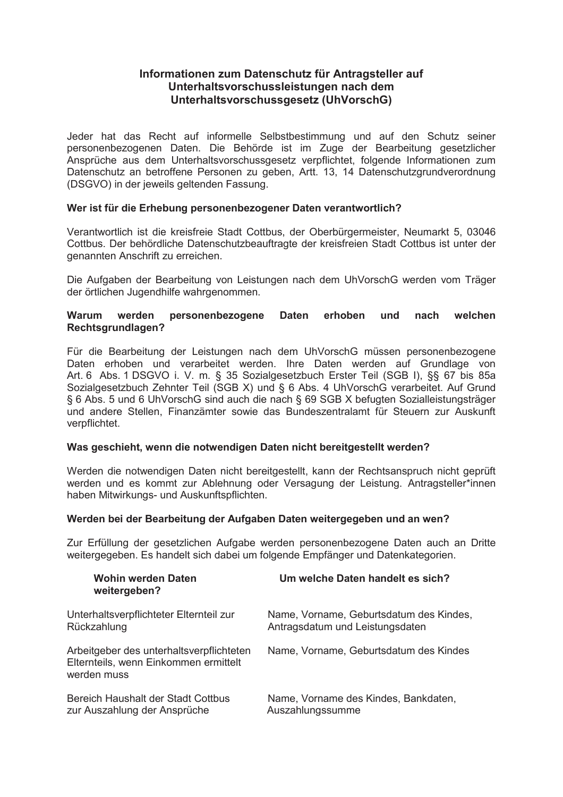# **Informationen zum Datenschutz für Antragsteller auf Unterhaltsvorschussleistungen nach dem Unterhaltsvorschussgesetz (UhVorschG)**

Jeder hat das Recht auf informelle Selbstbestimmung und auf den Schutz seiner personenbezogenen Daten. Die Behörde ist im Zuge der Bearbeitung gesetzlicher Ansprüche aus dem Unterhaltsvorschussgesetz verpflichtet, folgende Informationen zum Datenschutz an betroffene Personen zu geben, Artt. 13, 14 Datenschutzgrundverordnung (DSGVO) in der jeweils geltenden Fassung.

# Wer ist für die Erhebung personenbezogener Daten verantwortlich?

Verantwortlich ist die kreisfreie Stadt Cottbus, der Oberbürgermeister, Neumarkt 5, 03046 Cottbus. Der behördliche Datenschutzbeauftragte der kreisfreien Stadt Cottbus ist unter der genannten Anschrift zu erreichen.

Die Aufgaben der Bearbeitung von Leistungen nach dem UhVorschG werden vom Träger der örtlichen Jugendhilfe wahrgenommen.

# **Warum werden personenbezogene Daten erhoben und nach welchen Rechtsgrundlagen?**

Für die Bearbeitung der Leistungen nach dem UhVorschG müssen personenbezogene Daten erhoben und verarbeitet werden. Ihre Daten werden auf Grundlage von Art. 6 Abs. 1 DSGVO i. V. m. ß 35 Sozialgesetzbuch Erster Teil (SGB I), ßß 67 bis 85a Sozialgesetzbuch Zehnter Teil (SGB X) und ß 6 Abs. 4 UhVorschG verarbeitet. Auf Grund § 6 Abs. 5 und 6 UhVorschG sind auch die nach § 69 SGB X befugten Sozialleistungsträger und andere Stellen, Finanzämter sowie das Bundeszentralamt für Steuern zur Auskunft verpflichtet.

# **Was geschieht, wenn die notwendigen Daten nicht bereitgestellt werden?**

Werden die notwendigen Daten nicht bereitgestellt, kann der Rechtsanspruch nicht geprüft werden und es kommt zur Ablehnung oder Versagung der Leistung. Antragsteller\*innen haben Mitwirkungs- und Auskunftspflichten.

# **Werden bei der Bearbeitung der Aufgaben Daten weitergegeben und an wen?**

Zur Erfüllung der gesetzlichen Aufgabe werden personenbezogene Daten auch an Dritte weitergegeben. Es handelt sich dabei um folgende Empfänger und Datenkategorien.

| <b>Wohin werden Daten</b><br>weitergeben?                                                        | Um welche Daten handelt es sich?        |
|--------------------------------------------------------------------------------------------------|-----------------------------------------|
| Unterhaltsverpflichteter Elternteil zur                                                          | Name, Vorname, Geburtsdatum des Kindes, |
| Rückzahlung                                                                                      | Antragsdatum und Leistungsdaten         |
| Arbeitgeber des unterhaltsverpflichteten<br>Elternteils, wenn Einkommen ermittelt<br>werden muss | Name, Vorname, Geburtsdatum des Kindes  |
| Bereich Haushalt der Stadt Cottbus                                                               | Name, Vorname des Kindes, Bankdaten,    |
| zur Auszahlung der Ansprüche                                                                     | Auszahlungssumme                        |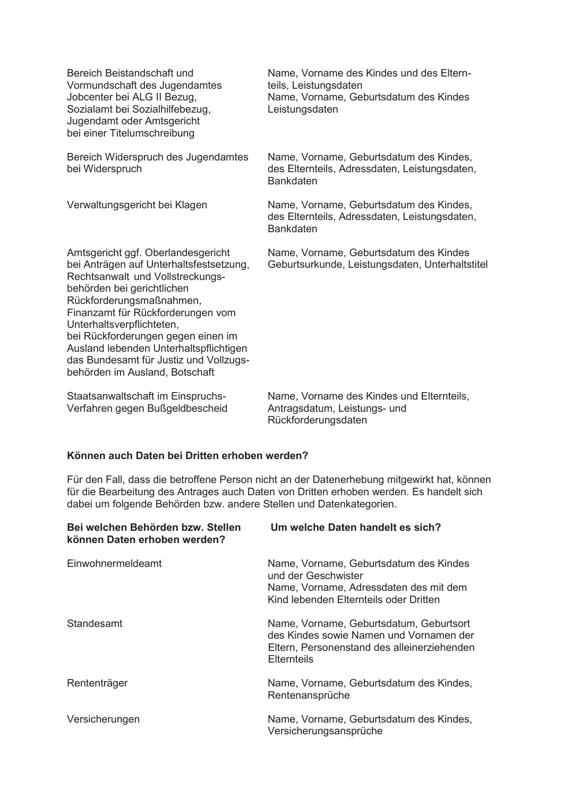Vormundschaft des Jugendamtes teils, Leistungsdaten<br>Jobcenter bei ALG II Bezug, teils Name, Vorname, Gel Sozialamt bei Sozialhilfebezug, Leistungsdaten Jugendamt oder Amtsgericht bei einer Titelumschreibung

Rechtsanwalt und Vollstreckungsbehörden bei gerichtlichen Rückforderungsmaßnahmen. Finanzamt für Rückforderungen vom Unterhaltsverpflichteten, bei Rückforderungen gegen einen im Ausland lebenden Unterhaltspflichtigen das Bundesamt für Justiz und Vollzugsbehörden im Ausland, Botschaft

Verfahren gegen Bußgeldbescheid Antragsdatum, Leistungs- und

Bereich Beistandschaft und Name, Vorname des Kindes und des Eltern-Name, Vorname, Geburtsdatum des Kindes

Bereich Widerspruch des Jugendamtes Name, Vorname, Geburtsdatum des Kindes, bei Widerspruch des Elternteils, Adressdaten, Leistungsdaten, Bankdaten

Verwaltungsgericht bei Klagen Name, Vorname, Geburtsdatum des Kindes, des Elternteils, Adressdaten, Leistungsdaten, Bankdaten

Amtsgericht ggf. Oberlandesgericht Mame, Vorname, Geburtsdatum des Kindes<br>bei Anträgen auf Unterhaltsfestsetzung, Geburtsurkunde, Leistungsdaten, Unterhalts Geburtsurkunde, Leistungsdaten, Unterhaltstitel

Staatsanwaltschaft im Einspruchs- Name, Vorname des Kindes und Elternteils, Rückforderungsdaten

#### **Kˆnnen auch Daten bei Dritten erhoben werden?**

Für den Fall, dass die betroffene Person nicht an der Datenerhebung mitgewirkt hat, können für die Bearbeitung des Antrages auch Daten von Dritten erhoben werden. Es handelt sich dabei um folgende Behörden bzw. andere Stellen und Datenkategorien.

| Bei welchen Behörden bzw. Stellen<br>können Daten erhoben werden? | Um welche Daten handelt es sich?                                                                                                                  |
|-------------------------------------------------------------------|---------------------------------------------------------------------------------------------------------------------------------------------------|
| Einwohnermeldeamt                                                 | Name, Vorname, Geburtsdatum des Kindes<br>und der Geschwister<br>Name, Vorname, Adressdaten des mit dem<br>Kind lebenden Elternteils oder Dritten |
| Standesamt                                                        | Name, Vorname, Geburtsdatum, Geburtsort<br>des Kindes sowie Namen und Vornamen der<br>Eltern, Personenstand des alleinerziehenden<br>Elternteils  |
| Rententräger                                                      | Name, Vorname, Geburtsdatum des Kindes,<br>Rentenansprüche                                                                                        |
| Versicherungen                                                    | Name, Vorname, Geburtsdatum des Kindes,<br>Versicherungsansprüche                                                                                 |